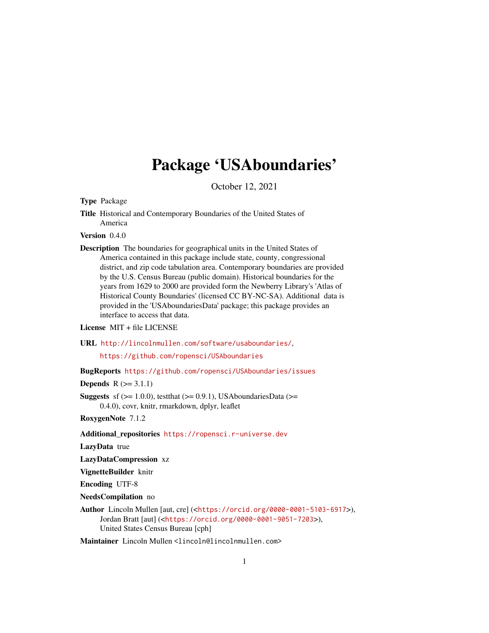# Package 'USAboundaries'

October 12, 2021

Type Package

Title Historical and Contemporary Boundaries of the United States of America

Version 0.4.0

Description The boundaries for geographical units in the United States of America contained in this package include state, county, congressional district, and zip code tabulation area. Contemporary boundaries are provided by the U.S. Census Bureau (public domain). Historical boundaries for the years from 1629 to 2000 are provided form the Newberry Library's 'Atlas of Historical County Boundaries' (licensed CC BY-NC-SA). Additional data is provided in the 'USAboundariesData' package; this package provides an interface to access that data.

License MIT + file LICENSE

URL <http://lincolnmullen.com/software/usaboundaries/>,

<https://github.com/ropensci/USAboundaries>

BugReports <https://github.com/ropensci/USAboundaries/issues>

**Depends**  $R$  ( $>= 3.1.1$ )

**Suggests** sf  $(>= 1.0.0)$ , test that  $(>= 0.9.1)$ , USA boundaries Data  $(>= 1.0.0)$ 0.4.0), covr, knitr, rmarkdown, dplyr, leaflet

RoxygenNote 7.1.2

Additional\_repositories <https://ropensci.r-universe.dev>

LazyData true

LazyDataCompression xz

VignetteBuilder knitr

Encoding UTF-8

NeedsCompilation no

Author Lincoln Mullen [aut, cre] (<<https://orcid.org/0000-0001-5103-6917>>), Jordan Bratt [aut] (<<https://orcid.org/0000-0001-9051-7203>>), United States Census Bureau [cph]

Maintainer Lincoln Mullen <lincoln@lincolnmullen.com>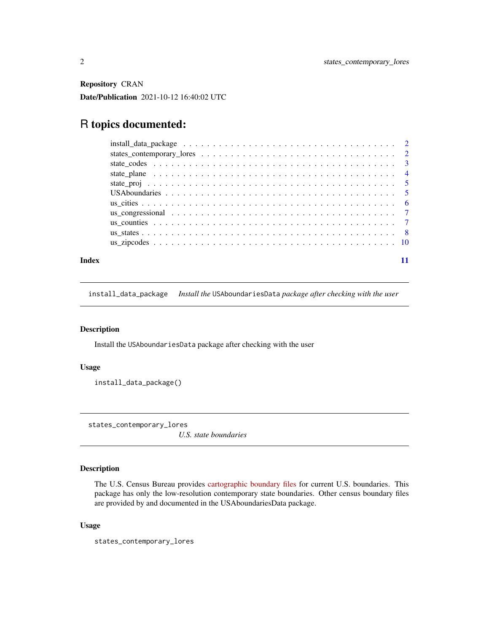<span id="page-1-0"></span>Repository CRAN

Date/Publication 2021-10-12 16:40:02 UTC

## R topics documented:

|       | $install\_data\_package \dots \dots \dots \dots \dots \dots \dots \dots \dots \dots \dots \dots \dots \dots \dots$ |  |
|-------|--------------------------------------------------------------------------------------------------------------------|--|
|       |                                                                                                                    |  |
|       |                                                                                                                    |  |
|       |                                                                                                                    |  |
|       |                                                                                                                    |  |
|       |                                                                                                                    |  |
|       |                                                                                                                    |  |
|       |                                                                                                                    |  |
|       |                                                                                                                    |  |
|       |                                                                                                                    |  |
|       |                                                                                                                    |  |
|       |                                                                                                                    |  |
| Index |                                                                                                                    |  |

install\_data\_package *Install the* USAboundariesData *package after checking with the user*

#### Description

Install the USAboundariesData package after checking with the user

#### Usage

install\_data\_package()

states\_contemporary\_lores

*U.S. state boundaries*

#### Description

The U.S. Census Bureau provides [cartographic boundary files](https://www.census.gov/geographies/mapping-files/time-series/geo/tiger-line-file.html) for current U.S. boundaries. This package has only the low-resolution contemporary state boundaries. Other census boundary files are provided by and documented in the USAboundariesData package.

#### Usage

states\_contemporary\_lores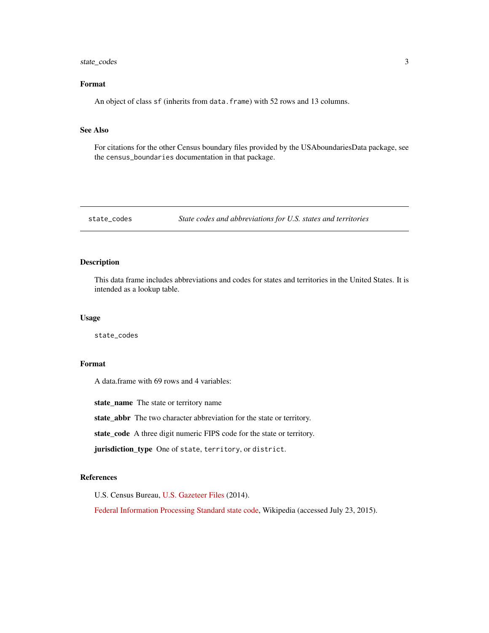#### <span id="page-2-0"></span>state\_codes 3

#### Format

An object of class sf (inherits from data.frame) with 52 rows and 13 columns.

#### See Also

For citations for the other Census boundary files provided by the USAboundariesData package, see the census\_boundaries documentation in that package.

state\_codes *State codes and abbreviations for U.S. states and territories*

#### Description

This data frame includes abbreviations and codes for states and territories in the United States. It is intended as a lookup table.

#### Usage

state\_codes

#### Format

A data.frame with 69 rows and 4 variables:

state\_name The state or territory name

state\_abbr The two character abbreviation for the state or territory.

state\_code A three digit numeric FIPS code for the state or territory.

jurisdiction\_type One of state, territory, or district.

#### References

U.S. Census Bureau, [U.S. Gazeteer Files](https://www.census.gov/geographies/reference-files/time-series/geo/gazetteer-files.2014.html) (2014).

[Federal Information Processing Standard state code,](https://en.wikipedia.org/wiki/Federal_Information_Processing_Standard_state_code) Wikipedia (accessed July 23, 2015).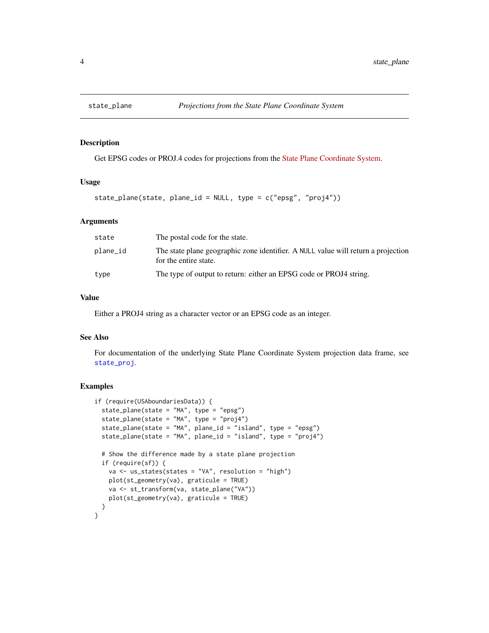<span id="page-3-0"></span>

Get EPSG codes or PROJ.4 codes for projections from the [State Plane Coordinate System.](https://en.wikipedia.org/wiki/State_Plane_Coordinate_System)

#### Usage

```
state_plane(state, plane_id = NULL, type = c("epsg", "proj4"))
```
#### Arguments

| state    | The postal code for the state.                                                                             |
|----------|------------------------------------------------------------------------------------------------------------|
| plane_id | The state plane geographic zone identifier. A NULL value will return a projection<br>for the entire state. |
| type     | The type of output to return: either an EPSG code or PROJ4 string.                                         |

#### Value

Either a PROJ4 string as a character vector or an EPSG code as an integer.

#### See Also

For documentation of the underlying State Plane Coordinate System projection data frame, see [state\\_proj](#page-4-1).

```
if (require(USAboundariesData)) {
  state_plane(state = "MA", type = "epsg")
  state_plane(state = "MA", type = "proj4")
  state_plane(state = "MA", plane_id = "island", type = "epsg")
  state_plane(state = "MA", plane_id = "island", type = "proj4")
  # Show the difference made by a state plane projection
  if (require(sf)) {
   va <- us_states(states = "VA", resolution = "high")
   plot(st_geometry(va), graticule = TRUE)
   va <- st_transform(va, state_plane("VA"))
    plot(st_geometry(va), graticule = TRUE)
  }
}
```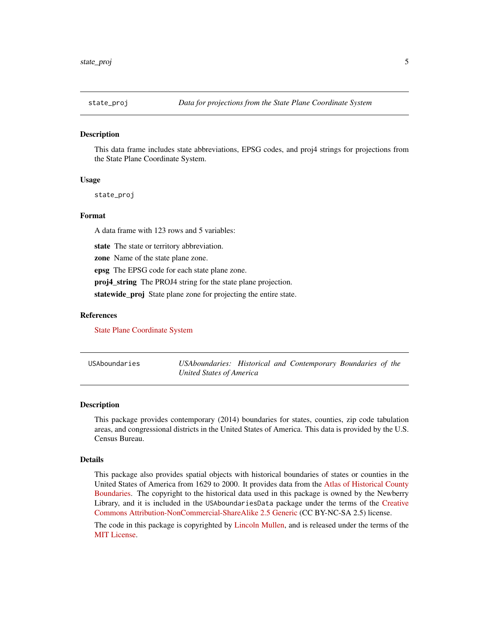<span id="page-4-1"></span><span id="page-4-0"></span>

This data frame includes state abbreviations, EPSG codes, and proj4 strings for projections from the State Plane Coordinate System.

#### Usage

state\_proj

#### Format

A data frame with 123 rows and 5 variables:

state The state or territory abbreviation.

zone Name of the state plane zone.

epsg The EPSG code for each state plane zone.

proj4 string The PROJ4 string for the state plane projection.

statewide\_proj State plane zone for projecting the entire state.

#### References

[State Plane Coordinate System](https://en.wikipedia.org/wiki/State_Plane_Coordinate_System)

| USAboundaries | USAboundaries: Historical and Contemporary Boundaries of the |  |  |  |
|---------------|--------------------------------------------------------------|--|--|--|
|               | <b>United States of America</b>                              |  |  |  |

#### Description

This package provides contemporary (2014) boundaries for states, counties, zip code tabulation areas, and congressional districts in the United States of America. This data is provided by the U.S. Census Bureau.

#### Details

This package also provides spatial objects with historical boundaries of states or counties in the United States of America from 1629 to 2000. It provides data from the [Atlas of Historical County](https://publications.newberry.org/ahcbp/) [Boundaries.](https://publications.newberry.org/ahcbp/) The copyright to the historical data used in this package is owned by the Newberry Library, and it is included in the USAboundariesData package under the terms of the [Creative](https://creativecommons.org/licenses/by-nc-sa/2.5/) [Commons Attribution-NonCommercial-ShareAlike 2.5 Generic](https://creativecommons.org/licenses/by-nc-sa/2.5/) (CC BY-NC-SA 2.5) license.

The code in this package is copyrighted by [Lincoln Mullen,](https://lincolnmullen.com) and is released under the terms of the [MIT License.](https://opensource.org/licenses/MIT)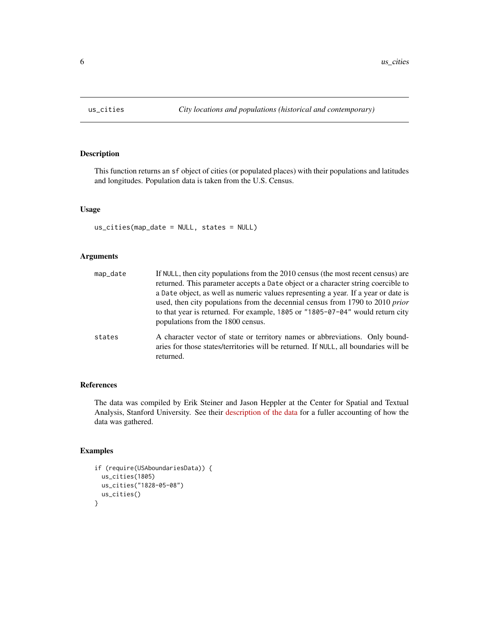<span id="page-5-0"></span>

This function returns an sf object of cities (or populated places) with their populations and latitudes and longitudes. Population data is taken from the U.S. Census.

#### Usage

us\_cities(map\_date = NULL, states = NULL)

#### Arguments

| map_date | If NULL, then city populations from the 2010 census (the most recent census) are<br>returned. This parameter accepts a Date object or a character string coercible to<br>a Date object, as well as numeric values representing a year. If a year or date is<br>used, then city populations from the decennial census from 1790 to 2010 prior<br>to that year is returned. For example, 1805 or "1805-07-04" would return city<br>populations from the 1800 census. |
|----------|--------------------------------------------------------------------------------------------------------------------------------------------------------------------------------------------------------------------------------------------------------------------------------------------------------------------------------------------------------------------------------------------------------------------------------------------------------------------|
| states   | A character vector of state or territory names or abbreviations. Only bound-<br>aries for those states/territories will be returned. If NULL, all boundaries will be<br>returned.                                                                                                                                                                                                                                                                                  |

#### References

The data was compiled by Erik Steiner and Jason Heppler at the Center for Spatial and Textual Analysis, Stanford University. See their [description of the data](https://github.com/cestastanford/historical-us-city-populations) for a fuller accounting of how the data was gathered.

```
if (require(USAboundariesData)) {
 us_cities(1805)
 us_cities("1828-05-08")
 us_cities()
}
```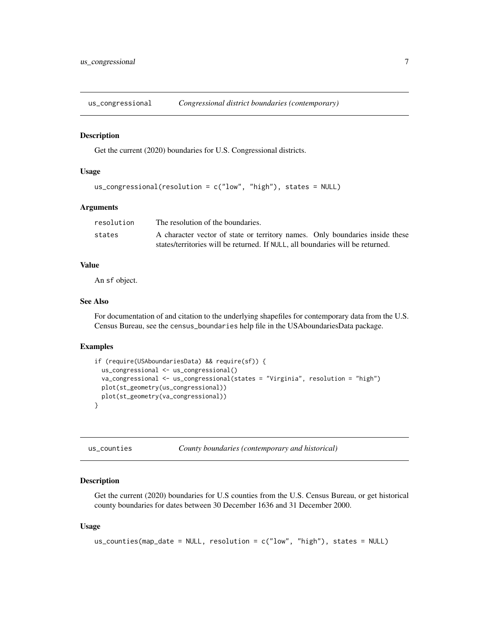<span id="page-6-0"></span>us\_congressional *Congressional district boundaries (contemporary)*

#### Description

Get the current (2020) boundaries for U.S. Congressional districts.

### Usage

```
us_congressional(resolution = c("low", "high"), states = NULL)
```
#### Arguments

| resolution | The resolution of the boundaries.                                              |  |
|------------|--------------------------------------------------------------------------------|--|
| states     | A character vector of state or territory names. Only boundaries inside these   |  |
|            | states/territories will be returned. If NULL, all boundaries will be returned. |  |

#### Value

An sf object.

#### See Also

For documentation of and citation to the underlying shapefiles for contemporary data from the U.S. Census Bureau, see the census\_boundaries help file in the USAboundariesData package.

#### Examples

```
if (require(USAboundariesData) && require(sf)) {
 us_congressional <- us_congressional()
 va_congressional <- us_congressional(states = "Virginia", resolution = "high")
 plot(st_geometry(us_congressional))
 plot(st_geometry(va_congressional))
}
```
us\_counties *County boundaries (contemporary and historical)*

#### Description

Get the current (2020) boundaries for U.S counties from the U.S. Census Bureau, or get historical county boundaries for dates between 30 December 1636 and 31 December 2000.

#### Usage

```
us_counties(map_date = NULL, resolution = c("low", "high"), states = NULL)
```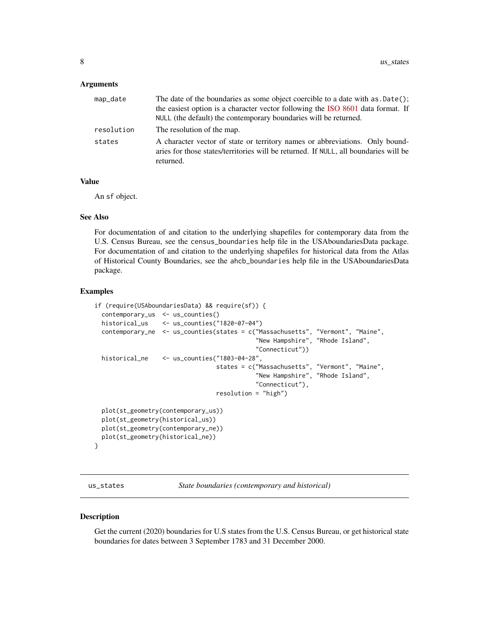#### <span id="page-7-0"></span>**Arguments**

| map_date   | The date of the boundaries as some object coercible to a date with as .Date();<br>the easiest option is a character vector following the ISO 8601 data format. If<br>NULL (the default) the contemporary boundaries will be returned. |
|------------|---------------------------------------------------------------------------------------------------------------------------------------------------------------------------------------------------------------------------------------|
| resolution | The resolution of the map.                                                                                                                                                                                                            |
| states     | A character vector of state or territory names or abbreviations. Only bound-<br>aries for those states/territories will be returned. If NULL, all boundaries will be<br>returned.                                                     |

#### Value

An sf object.

#### See Also

For documentation of and citation to the underlying shapefiles for contemporary data from the U.S. Census Bureau, see the census\_boundaries help file in the USAboundariesData package. For documentation of and citation to the underlying shapefiles for historical data from the Atlas of Historical County Boundaries, see the ahcb\_boundaries help file in the USAboundariesData package.

#### Examples

```
if (require(USAboundariesData) && require(sf)) {
 contemporary_us <- us_counties()
 historical_us <- us_counties("1820-07-04")
 contemporary_ne <- us_counties(states = c("Massachusetts", "Vermont", "Maine",
                                             "New Hampshire", "Rhode Island",
                                             "Connecticut"))
 historical_ne <- us_counties("1803-04-28",
                                  states = c("Massachusetts", "Vermont", "Maine",
                                             "New Hampshire", "Rhode Island",
                                             "Connecticut"),
                                  resolution = "high")
 plot(st_geometry(contemporary_us))
 plot(st_geometry(historical_us))
 plot(st_geometry(contemporary_ne))
 plot(st_geometry(historical_ne))
}
```
us\_states *State boundaries (contemporary and historical)*

#### Description

Get the current (2020) boundaries for U.S states from the U.S. Census Bureau, or get historical state boundaries for dates between 3 September 1783 and 31 December 2000.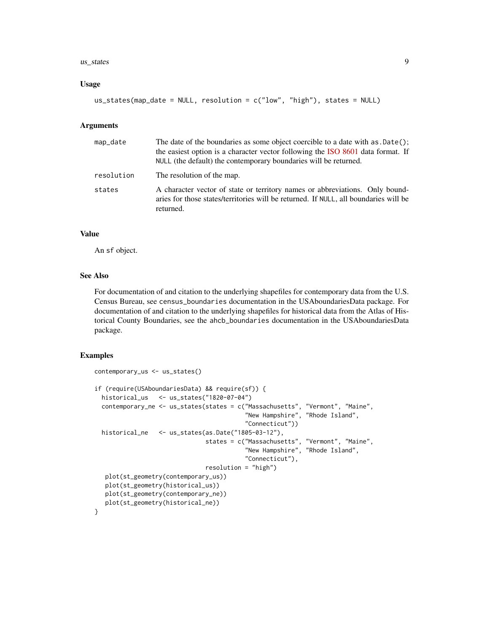#### $\mu$ s\_states 9

#### Usage

```
us_states(map_date = NULL, resolution = c("low", "high"), states = NULL)
```
#### Arguments

| map_date   | The date of the boundaries as some object coercible to a date with as .Date();<br>the easiest option is a character vector following the ISO 8601 data format. If<br>NULL (the default) the contemporary boundaries will be returned. |
|------------|---------------------------------------------------------------------------------------------------------------------------------------------------------------------------------------------------------------------------------------|
| resolution | The resolution of the map.                                                                                                                                                                                                            |
| states     | A character vector of state or territory names or abbreviations. Only bound-<br>aries for those states/territories will be returned. If NULL, all boundaries will be<br>returned.                                                     |

#### Value

An sf object.

#### See Also

For documentation of and citation to the underlying shapefiles for contemporary data from the U.S. Census Bureau, see census\_boundaries documentation in the USAboundariesData package. For documentation of and citation to the underlying shapefiles for historical data from the Atlas of Historical County Boundaries, see the ahcb\_boundaries documentation in the USAboundariesData package.

```
contemporary_us <- us_states()
if (require(USAboundariesData) && require(sf)) {
 historical_us <- us_states("1820-07-04")
 contemporary_ne <- us_states(states = c("Massachusetts", "Vermont", "Maine",
                                          "New Hampshire", "Rhode Island",
                                          "Connecticut"))
 historical_ne <- us_states(as.Date("1805-03-12"),
                               states = c("Massachusetts", "Vermont", "Maine",
                                          "New Hampshire", "Rhode Island",
                                          "Connecticut"),
                               resolution = "high")
  plot(st_geometry(contemporary_us))
  plot(st_geometry(historical_us))
  plot(st_geometry(contemporary_ne))
  plot(st_geometry(historical_ne))
}
```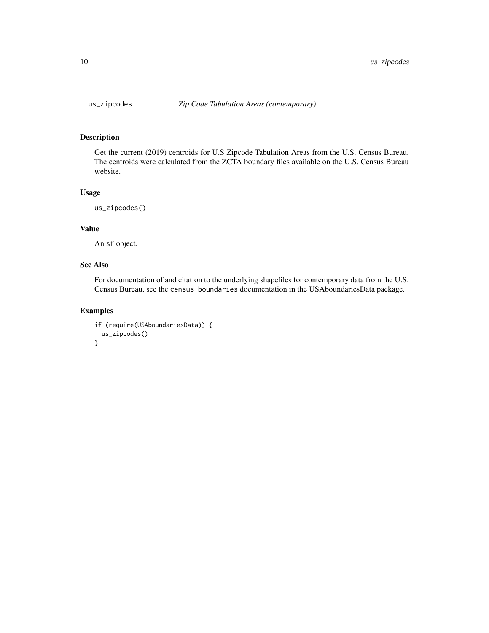Get the current (2019) centroids for U.S Zipcode Tabulation Areas from the U.S. Census Bureau. The centroids were calculated from the ZCTA boundary files available on the U.S. Census Bureau website.

#### Usage

```
us_zipcodes()
```
### Value

An sf object.

#### See Also

For documentation of and citation to the underlying shapefiles for contemporary data from the U.S. Census Bureau, see the census\_boundaries documentation in the USAboundariesData package.

```
if (require(USAboundariesData)) {
 us_zipcodes()
}
```